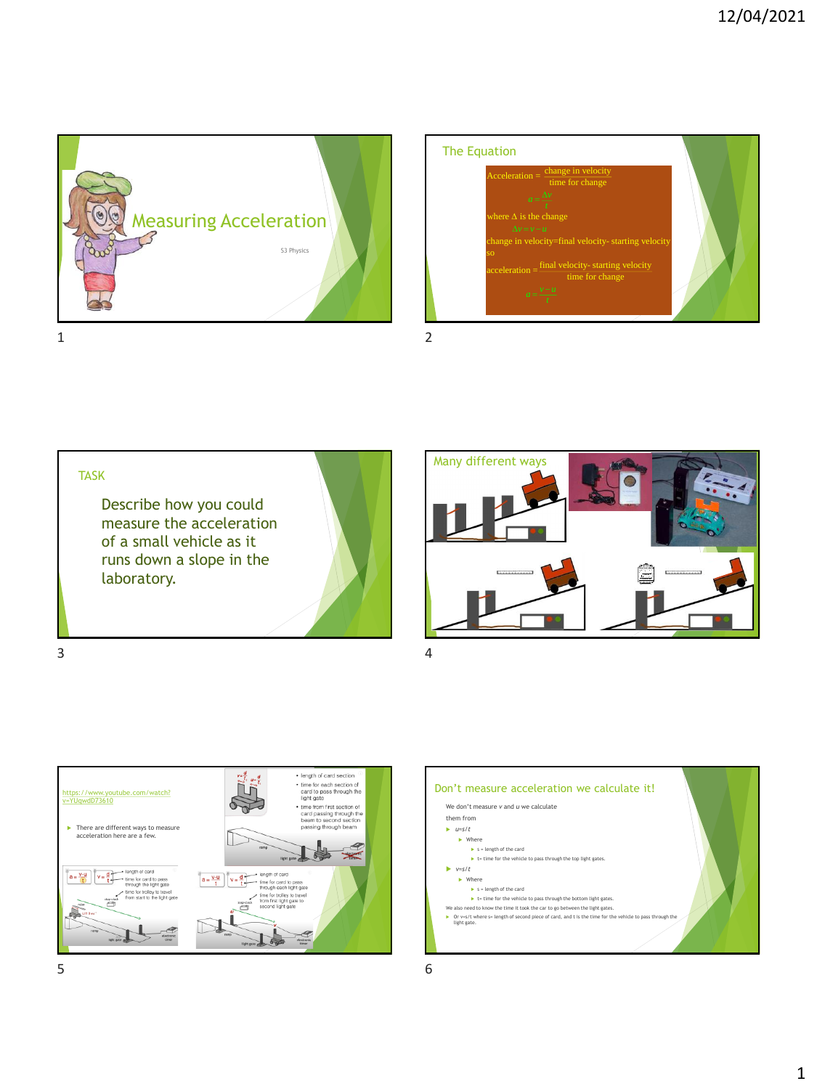



Describe how you could measure the acceleration of a small vehicle as it runs down a slope in the laboratory. TASK





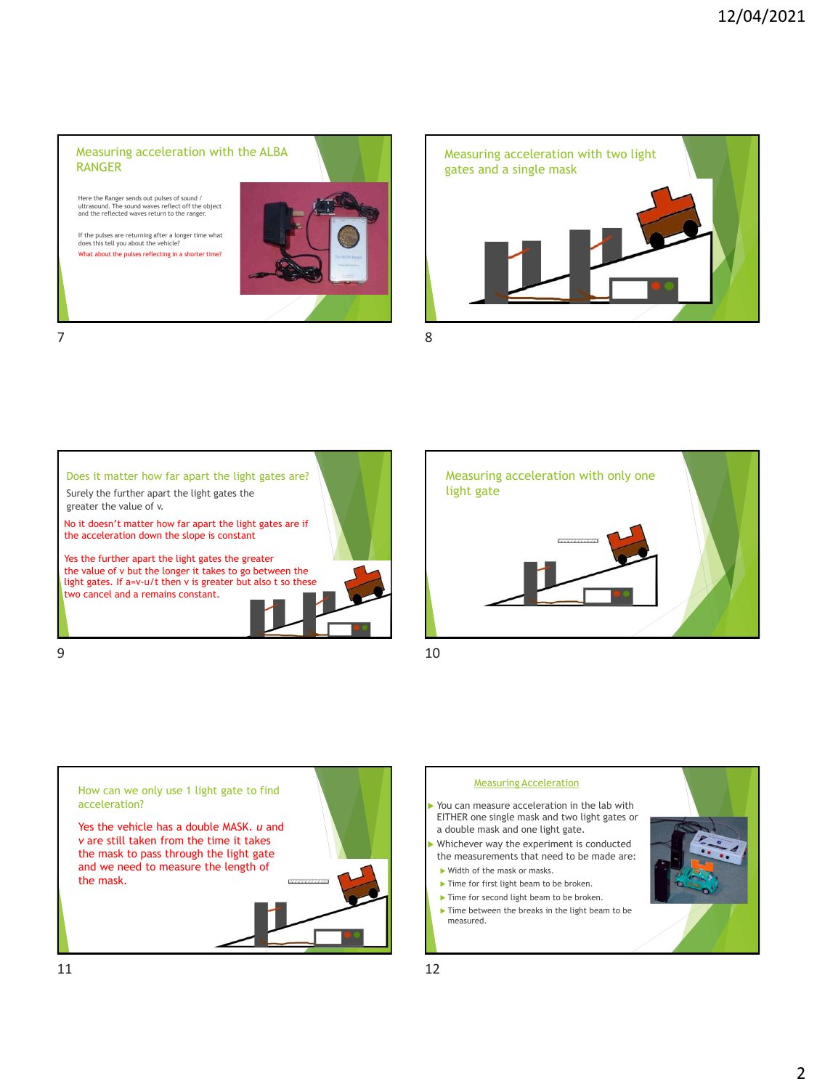## Measuring acceleration with the ALBA RANGER

Here the Ranger sends out pulses of sound / ultrasound. The sound waves reflect off the object and the reflected waves return to the ranger.

If the pulses are returning after a longer time what does this tell you about the vehicle? What about the pulses reflecting in a shorter time?











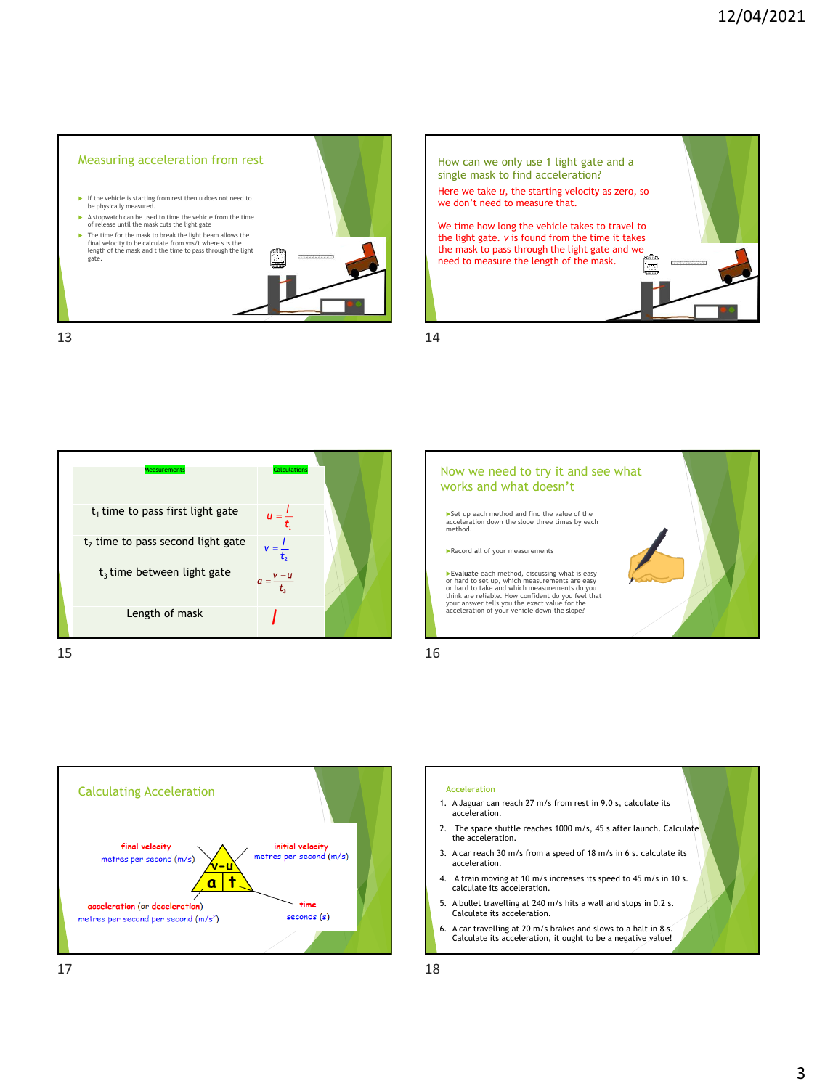











- 1. A Jaguar can reach 27 m/s from rest in 9.0 s, calculate its acceleration.
- 2. The space shuttle reaches 1000 m/s, 45 s after launch. Calculate the acceleration.
- 3. A car reach 30 m/s from a speed of 18 m/s in 6 s. calculate its acceleration.
- 4. A train moving at 10 m/s increases its speed to 45 m/s in 10 s. calculate its acceleration.
- 5. A bullet travelling at 240 m/s hits a wall and stops in 0.2 s. Calculate its acceleration.
- 6. A car travelling at 20 m/s brakes and slows to a halt in 8 s. Calculate its acceleration, it ought to be a negative value!